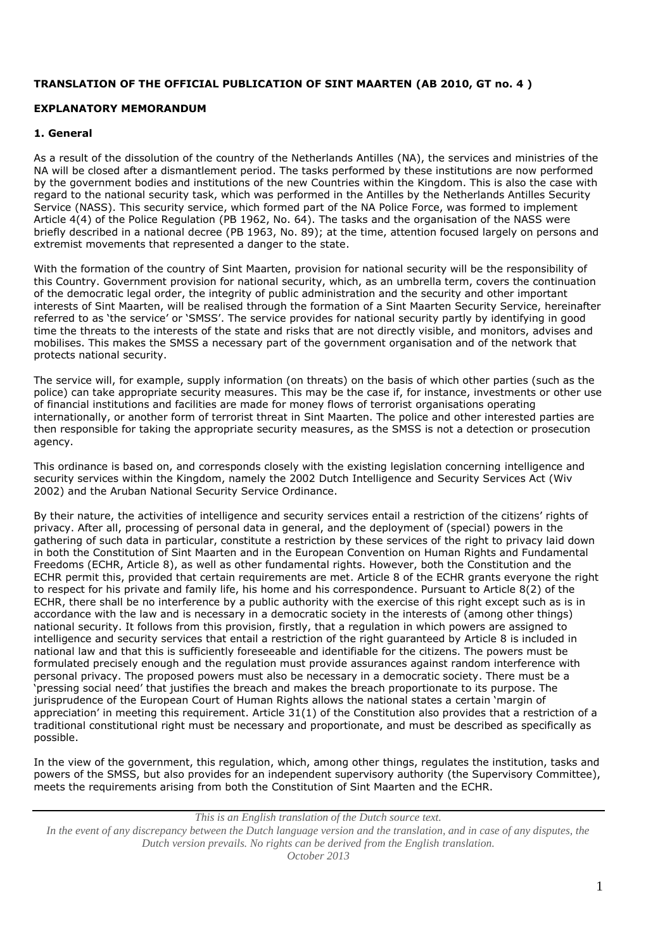# **TRANSLATION OF THE OFFICIAL PUBLICATION OF SINT MAARTEN (AB 2010, GT no. 4 )**

# **EXPLANATORY MEMORANDUM**

### **1. General**

As a result of the dissolution of the country of the Netherlands Antilles (NA), the services and ministries of the NA will be closed after a dismantlement period. The tasks performed by these institutions are now performed by the government bodies and institutions of the new Countries within the Kingdom. This is also the case with regard to the national security task, which was performed in the Antilles by the Netherlands Antilles Security Service (NASS). This security service, which formed part of the NA Police Force, was formed to implement Article 4(4) of the Police Regulation (PB 1962, No. 64). The tasks and the organisation of the NASS were briefly described in a national decree (PB 1963, No. 89); at the time, attention focused largely on persons and extremist movements that represented a danger to the state.

With the formation of the country of Sint Maarten, provision for national security will be the responsibility of this Country. Government provision for national security, which, as an umbrella term, covers the continuation of the democratic legal order, the integrity of public administration and the security and other important interests of Sint Maarten, will be realised through the formation of a Sint Maarten Security Service, hereinafter referred to as 'the service' or 'SMSS'. The service provides for national security partly by identifying in good time the threats to the interests of the state and risks that are not directly visible, and monitors, advises and mobilises. This makes the SMSS a necessary part of the government organisation and of the network that protects national security.

The service will, for example, supply information (on threats) on the basis of which other parties (such as the police) can take appropriate security measures. This may be the case if, for instance, investments or other use of financial institutions and facilities are made for money flows of terrorist organisations operating internationally, or another form of terrorist threat in Sint Maarten. The police and other interested parties are then responsible for taking the appropriate security measures, as the SMSS is not a detection or prosecution agency.

This ordinance is based on, and corresponds closely with the existing legislation concerning intelligence and security services within the Kingdom, namely the 2002 Dutch Intelligence and Security Services Act (Wiv 2002) and the Aruban National Security Service Ordinance.

By their nature, the activities of intelligence and security services entail a restriction of the citizens' rights of privacy. After all, processing of personal data in general, and the deployment of (special) powers in the gathering of such data in particular, constitute a restriction by these services of the right to privacy laid down in both the Constitution of Sint Maarten and in the European Convention on Human Rights and Fundamental Freedoms (ECHR, Article 8), as well as other fundamental rights. However, both the Constitution and the ECHR permit this, provided that certain requirements are met. Article 8 of the ECHR grants everyone the right to respect for his private and family life, his home and his correspondence. Pursuant to Article 8(2) of the ECHR, there shall be no interference by a public authority with the exercise of this right except such as is in accordance with the law and is necessary in a democratic society in the interests of (among other things) national security. It follows from this provision, firstly, that a regulation in which powers are assigned to intelligence and security services that entail a restriction of the right guaranteed by Article 8 is included in national law and that this is sufficiently foreseeable and identifiable for the citizens. The powers must be formulated precisely enough and the regulation must provide assurances against random interference with personal privacy. The proposed powers must also be necessary in a democratic society. There must be a 'pressing social need' that justifies the breach and makes the breach proportionate to its purpose. The jurisprudence of the European Court of Human Rights allows the national states a certain 'margin of appreciation' in meeting this requirement. Article 31(1) of the Constitution also provides that a restriction of a traditional constitutional right must be necessary and proportionate, and must be described as specifically as possible.

In the view of the government, this regulation, which, among other things, regulates the institution, tasks and powers of the SMSS, but also provides for an independent supervisory authority (the Supervisory Committee), meets the requirements arising from both the Constitution of Sint Maarten and the ECHR.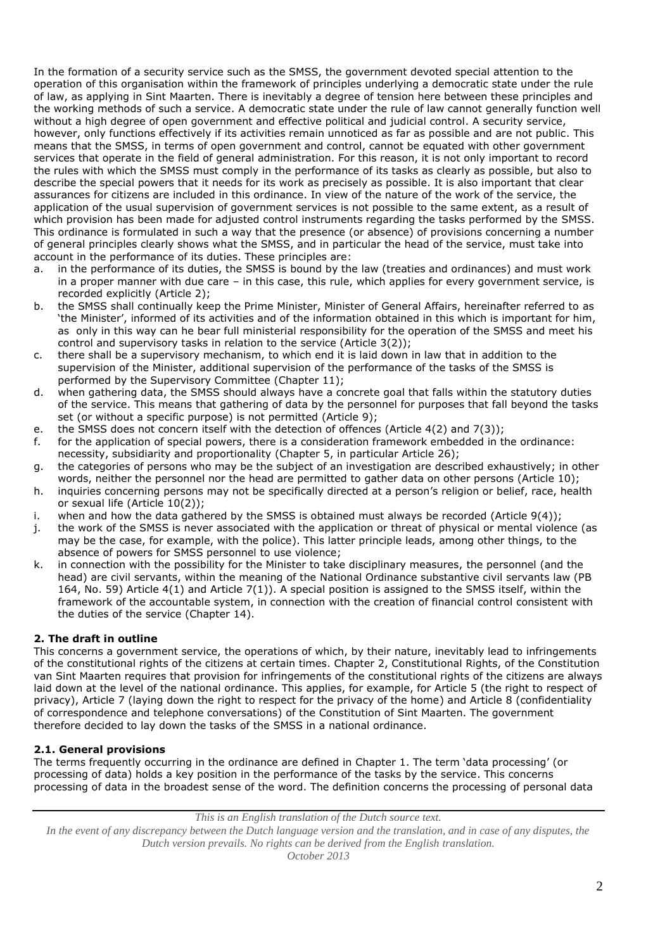In the formation of a security service such as the SMSS, the government devoted special attention to the operation of this organisation within the framework of principles underlying a democratic state under the rule of law, as applying in Sint Maarten. There is inevitably a degree of tension here between these principles and the working methods of such a service. A democratic state under the rule of law cannot generally function well without a high degree of open government and effective political and judicial control. A security service, however, only functions effectively if its activities remain unnoticed as far as possible and are not public. This means that the SMSS, in terms of open government and control, cannot be equated with other government services that operate in the field of general administration. For this reason, it is not only important to record the rules with which the SMSS must comply in the performance of its tasks as clearly as possible, but also to describe the special powers that it needs for its work as precisely as possible. It is also important that clear assurances for citizens are included in this ordinance. In view of the nature of the work of the service, the application of the usual supervision of government services is not possible to the same extent, as a result of which provision has been made for adjusted control instruments regarding the tasks performed by the SMSS. This ordinance is formulated in such a way that the presence (or absence) of provisions concerning a number of general principles clearly shows what the SMSS, and in particular the head of the service, must take into account in the performance of its duties. These principles are:

- a. in the performance of its duties, the SMSS is bound by the law (treaties and ordinances) and must work in a proper manner with due care – in this case, this rule, which applies for every government service, is recorded explicitly (Article 2);
- b. the SMSS shall continually keep the Prime Minister, Minister of General Affairs, hereinafter referred to as 'the Minister', informed of its activities and of the information obtained in this which is important for him, as only in this way can he bear full ministerial responsibility for the operation of the SMSS and meet his control and supervisory tasks in relation to the service (Article 3(2));
- c. there shall be a supervisory mechanism, to which end it is laid down in law that in addition to the supervision of the Minister, additional supervision of the performance of the tasks of the SMSS is performed by the Supervisory Committee (Chapter 11);
- d. when gathering data, the SMSS should always have a concrete goal that falls within the statutory duties of the service. This means that gathering of data by the personnel for purposes that fall beyond the tasks set (or without a specific purpose) is not permitted (Article 9);
- e. the SMSS does not concern itself with the detection of offences (Article 4(2) and 7(3));
- f. for the application of special powers, there is a consideration framework embedded in the ordinance: necessity, subsidiarity and proportionality (Chapter 5, in particular Article 26);
- g. the categories of persons who may be the subject of an investigation are described exhaustively; in other words, neither the personnel nor the head are permitted to gather data on other persons (Article 10);
- h. inquiries concerning persons may not be specifically directed at a person's religion or belief, race, health or sexual life (Article 10(2));
- i. when and how the data gathered by the SMSS is obtained must always be recorded (Article 9(4));
- j. the work of the SMSS is never associated with the application or threat of physical or mental violence (as may be the case, for example, with the police). This latter principle leads, among other things, to the absence of powers for SMSS personnel to use violence;
- k. in connection with the possibility for the Minister to take disciplinary measures, the personnel (and the head) are civil servants, within the meaning of the National Ordinance substantive civil servants law (PB 164, No. 59) Article 4(1) and Article 7(1)). A special position is assigned to the SMSS itself, within the framework of the accountable system, in connection with the creation of financial control consistent with the duties of the service (Chapter 14).

# **2. The draft in outline**

This concerns a government service, the operations of which, by their nature, inevitably lead to infringements of the constitutional rights of the citizens at certain times. Chapter 2, Constitutional Rights, of the Constitution van Sint Maarten requires that provision for infringements of the constitutional rights of the citizens are always laid down at the level of the national ordinance. This applies, for example, for Article 5 (the right to respect of privacy), Article 7 (laying down the right to respect for the privacy of the home) and Article 8 (confidentiality of correspondence and telephone conversations) of the Constitution of Sint Maarten. The government therefore decided to lay down the tasks of the SMSS in a national ordinance.

# **2.1. General provisions**

The terms frequently occurring in the ordinance are defined in Chapter 1. The term 'data processing' (or processing of data) holds a key position in the performance of the tasks by the service. This concerns processing of data in the broadest sense of the word. The definition concerns the processing of personal data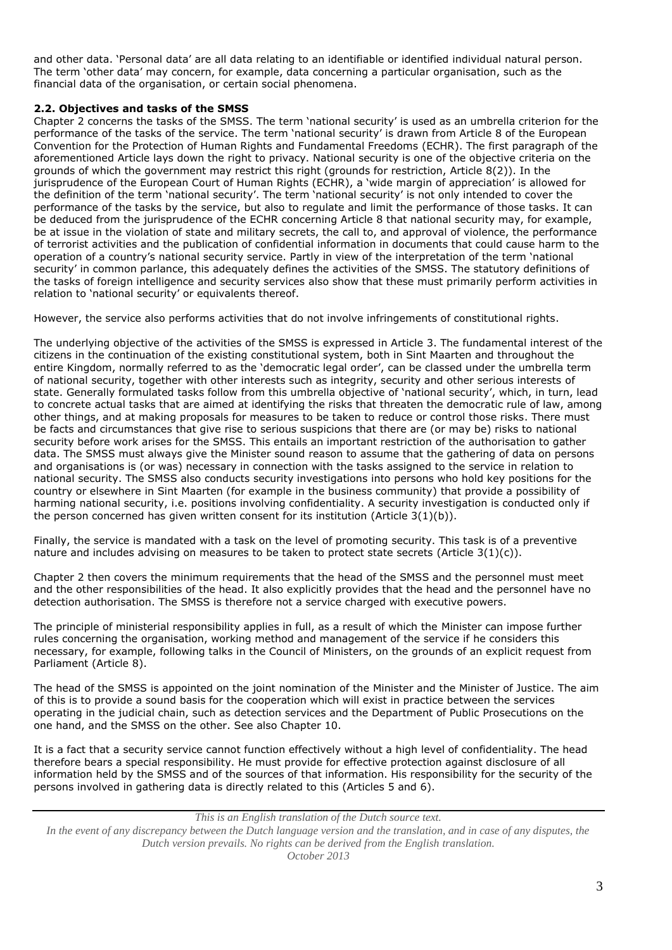and other data. 'Personal data' are all data relating to an identifiable or identified individual natural person. The term 'other data' may concern, for example, data concerning a particular organisation, such as the financial data of the organisation, or certain social phenomena.

# **2.2. Objectives and tasks of the SMSS**

Chapter 2 concerns the tasks of the SMSS. The term 'national security' is used as an umbrella criterion for the performance of the tasks of the service. The term 'national security' is drawn from Article 8 of the European Convention for the Protection of Human Rights and Fundamental Freedoms (ECHR). The first paragraph of the aforementioned Article lays down the right to privacy. National security is one of the objective criteria on the grounds of which the government may restrict this right (grounds for restriction, Article 8(2)). In the jurisprudence of the European Court of Human Rights (ECHR), a 'wide margin of appreciation' is allowed for the definition of the term 'national security'. The term 'national security' is not only intended to cover the performance of the tasks by the service, but also to regulate and limit the performance of those tasks. It can be deduced from the jurisprudence of the ECHR concerning Article 8 that national security may, for example, be at issue in the violation of state and military secrets, the call to, and approval of violence, the performance of terrorist activities and the publication of confidential information in documents that could cause harm to the operation of a country's national security service. Partly in view of the interpretation of the term 'national security' in common parlance, this adequately defines the activities of the SMSS. The statutory definitions of the tasks of foreign intelligence and security services also show that these must primarily perform activities in relation to 'national security' or equivalents thereof.

However, the service also performs activities that do not involve infringements of constitutional rights.

The underlying objective of the activities of the SMSS is expressed in Article 3. The fundamental interest of the citizens in the continuation of the existing constitutional system, both in Sint Maarten and throughout the entire Kingdom, normally referred to as the 'democratic legal order', can be classed under the umbrella term of national security, together with other interests such as integrity, security and other serious interests of state. Generally formulated tasks follow from this umbrella objective of 'national security', which, in turn, lead to concrete actual tasks that are aimed at identifying the risks that threaten the democratic rule of law, among other things, and at making proposals for measures to be taken to reduce or control those risks. There must be facts and circumstances that give rise to serious suspicions that there are (or may be) risks to national security before work arises for the SMSS. This entails an important restriction of the authorisation to gather data. The SMSS must always give the Minister sound reason to assume that the gathering of data on persons and organisations is (or was) necessary in connection with the tasks assigned to the service in relation to national security. The SMSS also conducts security investigations into persons who hold key positions for the country or elsewhere in Sint Maarten (for example in the business community) that provide a possibility of harming national security, i.e. positions involving confidentiality. A security investigation is conducted only if the person concerned has given written consent for its institution (Article  $3(1)(b)$ ).

Finally, the service is mandated with a task on the level of promoting security. This task is of a preventive nature and includes advising on measures to be taken to protect state secrets (Article  $3(1)(c)$ ).

Chapter 2 then covers the minimum requirements that the head of the SMSS and the personnel must meet and the other responsibilities of the head. It also explicitly provides that the head and the personnel have no detection authorisation. The SMSS is therefore not a service charged with executive powers.

The principle of ministerial responsibility applies in full, as a result of which the Minister can impose further rules concerning the organisation, working method and management of the service if he considers this necessary, for example, following talks in the Council of Ministers, on the grounds of an explicit request from Parliament (Article 8).

The head of the SMSS is appointed on the joint nomination of the Minister and the Minister of Justice. The aim of this is to provide a sound basis for the cooperation which will exist in practice between the services operating in the judicial chain, such as detection services and the Department of Public Prosecutions on the one hand, and the SMSS on the other. See also Chapter 10.

It is a fact that a security service cannot function effectively without a high level of confidentiality. The head therefore bears a special responsibility. He must provide for effective protection against disclosure of all information held by the SMSS and of the sources of that information. His responsibility for the security of the persons involved in gathering data is directly related to this (Articles 5 and 6).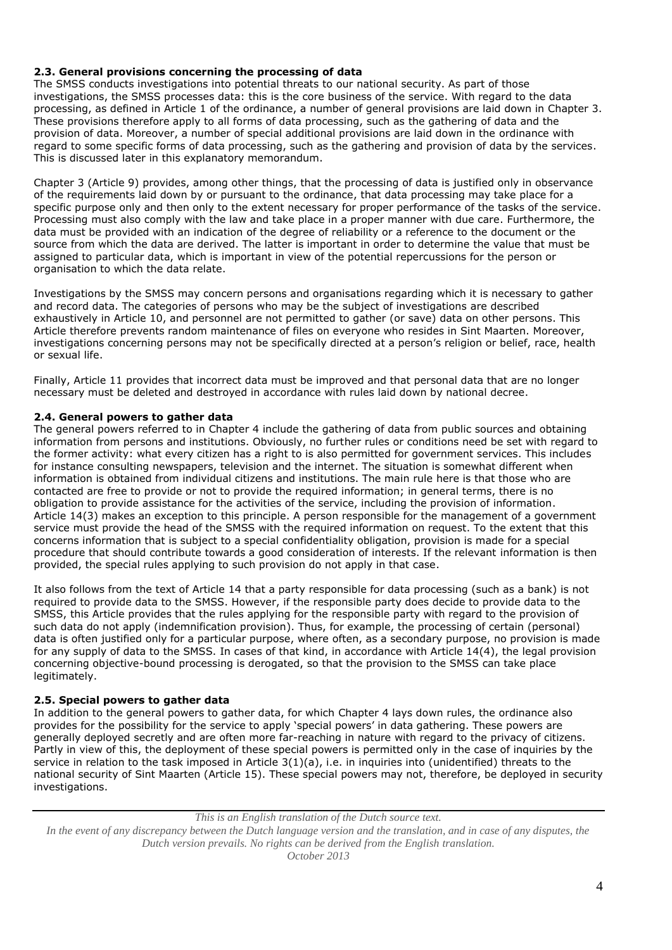# **2.3. General provisions concerning the processing of data**

The SMSS conducts investigations into potential threats to our national security. As part of those investigations, the SMSS processes data: this is the core business of the service. With regard to the data processing, as defined in Article 1 of the ordinance, a number of general provisions are laid down in Chapter 3. These provisions therefore apply to all forms of data processing, such as the gathering of data and the provision of data. Moreover, a number of special additional provisions are laid down in the ordinance with regard to some specific forms of data processing, such as the gathering and provision of data by the services. This is discussed later in this explanatory memorandum.

Chapter 3 (Article 9) provides, among other things, that the processing of data is justified only in observance of the requirements laid down by or pursuant to the ordinance, that data processing may take place for a specific purpose only and then only to the extent necessary for proper performance of the tasks of the service. Processing must also comply with the law and take place in a proper manner with due care. Furthermore, the data must be provided with an indication of the degree of reliability or a reference to the document or the source from which the data are derived. The latter is important in order to determine the value that must be assigned to particular data, which is important in view of the potential repercussions for the person or organisation to which the data relate.

Investigations by the SMSS may concern persons and organisations regarding which it is necessary to gather and record data. The categories of persons who may be the subject of investigations are described exhaustively in Article 10, and personnel are not permitted to gather (or save) data on other persons. This Article therefore prevents random maintenance of files on everyone who resides in Sint Maarten. Moreover, investigations concerning persons may not be specifically directed at a person's religion or belief, race, health or sexual life.

Finally, Article 11 provides that incorrect data must be improved and that personal data that are no longer necessary must be deleted and destroyed in accordance with rules laid down by national decree.

# **2.4. General powers to gather data**

The general powers referred to in Chapter 4 include the gathering of data from public sources and obtaining information from persons and institutions. Obviously, no further rules or conditions need be set with regard to the former activity: what every citizen has a right to is also permitted for government services. This includes for instance consulting newspapers, television and the internet. The situation is somewhat different when information is obtained from individual citizens and institutions. The main rule here is that those who are contacted are free to provide or not to provide the required information; in general terms, there is no obligation to provide assistance for the activities of the service, including the provision of information. Article 14(3) makes an exception to this principle. A person responsible for the management of a government service must provide the head of the SMSS with the required information on request. To the extent that this concerns information that is subject to a special confidentiality obligation, provision is made for a special procedure that should contribute towards a good consideration of interests. If the relevant information is then provided, the special rules applying to such provision do not apply in that case.

It also follows from the text of Article 14 that a party responsible for data processing (such as a bank) is not required to provide data to the SMSS. However, if the responsible party does decide to provide data to the SMSS, this Article provides that the rules applying for the responsible party with regard to the provision of such data do not apply (indemnification provision). Thus, for example, the processing of certain (personal) data is often justified only for a particular purpose, where often, as a secondary purpose, no provision is made for any supply of data to the SMSS. In cases of that kind, in accordance with Article 14(4), the legal provision concerning objective-bound processing is derogated, so that the provision to the SMSS can take place legitimately.

# **2.5. Special powers to gather data**

In addition to the general powers to gather data, for which Chapter 4 lays down rules, the ordinance also provides for the possibility for the service to apply 'special powers' in data gathering. These powers are generally deployed secretly and are often more far-reaching in nature with regard to the privacy of citizens. Partly in view of this, the deployment of these special powers is permitted only in the case of inquiries by the service in relation to the task imposed in Article 3(1)(a), i.e. in inquiries into (unidentified) threats to the national security of Sint Maarten (Article 15). These special powers may not, therefore, be deployed in security investigations.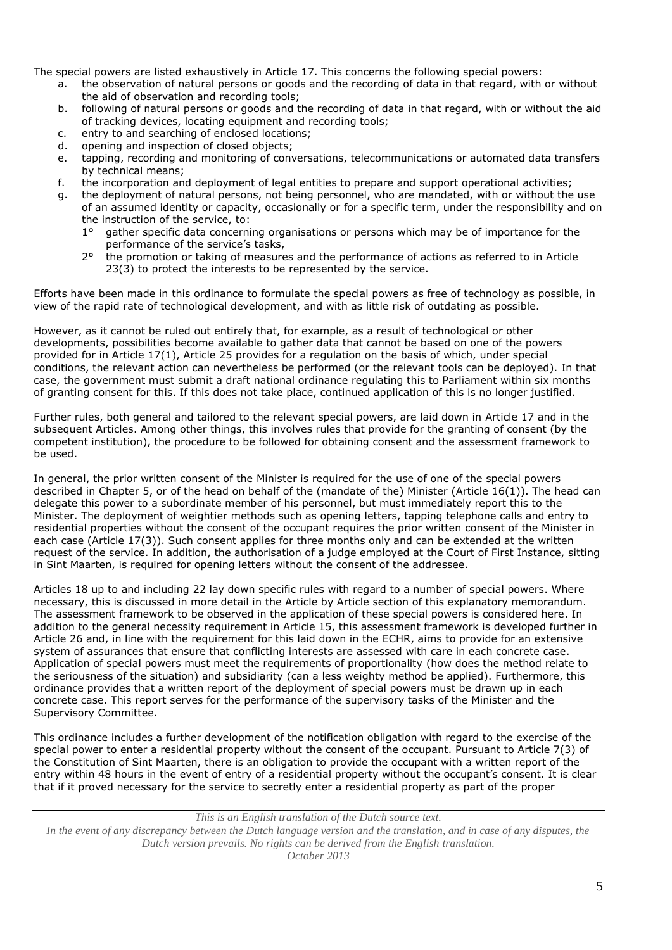The special powers are listed exhaustively in Article 17. This concerns the following special powers:

- a. the observation of natural persons or goods and the recording of data in that regard, with or without the aid of observation and recording tools;
- b. following of natural persons or goods and the recording of data in that regard, with or without the aid of tracking devices, locating equipment and recording tools;
- c. entry to and searching of enclosed locations;
- d. opening and inspection of closed objects;
- e. tapping, recording and monitoring of conversations, telecommunications or automated data transfers by technical means;
- f. the incorporation and deployment of legal entities to prepare and support operational activities;
- g. the deployment of natural persons, not being personnel, who are mandated, with or without the use of an assumed identity or capacity, occasionally or for a specific term, under the responsibility and on the instruction of the service, to:
	- 1° gather specific data concerning organisations or persons which may be of importance for the performance of the service's tasks,
	- 2° the promotion or taking of measures and the performance of actions as referred to in Article 23(3) to protect the interests to be represented by the service.

Efforts have been made in this ordinance to formulate the special powers as free of technology as possible, in view of the rapid rate of technological development, and with as little risk of outdating as possible.

However, as it cannot be ruled out entirely that, for example, as a result of technological or other developments, possibilities become available to gather data that cannot be based on one of the powers provided for in Article 17(1), Article 25 provides for a regulation on the basis of which, under special conditions, the relevant action can nevertheless be performed (or the relevant tools can be deployed). In that case, the government must submit a draft national ordinance regulating this to Parliament within six months of granting consent for this. If this does not take place, continued application of this is no longer justified.

Further rules, both general and tailored to the relevant special powers, are laid down in Article 17 and in the subsequent Articles. Among other things, this involves rules that provide for the granting of consent (by the competent institution), the procedure to be followed for obtaining consent and the assessment framework to be used.

In general, the prior written consent of the Minister is required for the use of one of the special powers described in Chapter 5, or of the head on behalf of the (mandate of the) Minister (Article 16(1)). The head can delegate this power to a subordinate member of his personnel, but must immediately report this to the Minister. The deployment of weightier methods such as opening letters, tapping telephone calls and entry to residential properties without the consent of the occupant requires the prior written consent of the Minister in each case (Article 17(3)). Such consent applies for three months only and can be extended at the written request of the service. In addition, the authorisation of a judge employed at the Court of First Instance, sitting in Sint Maarten, is required for opening letters without the consent of the addressee.

Articles 18 up to and including 22 lay down specific rules with regard to a number of special powers. Where necessary, this is discussed in more detail in the Article by Article section of this explanatory memorandum. The assessment framework to be observed in the application of these special powers is considered here. In addition to the general necessity requirement in Article 15, this assessment framework is developed further in Article 26 and, in line with the requirement for this laid down in the ECHR, aims to provide for an extensive system of assurances that ensure that conflicting interests are assessed with care in each concrete case. Application of special powers must meet the requirements of proportionality (how does the method relate to the seriousness of the situation) and subsidiarity (can a less weighty method be applied). Furthermore, this ordinance provides that a written report of the deployment of special powers must be drawn up in each concrete case. This report serves for the performance of the supervisory tasks of the Minister and the Supervisory Committee.

This ordinance includes a further development of the notification obligation with regard to the exercise of the special power to enter a residential property without the consent of the occupant. Pursuant to Article 7(3) of the Constitution of Sint Maarten, there is an obligation to provide the occupant with a written report of the entry within 48 hours in the event of entry of a residential property without the occupant's consent. It is clear that if it proved necessary for the service to secretly enter a residential property as part of the proper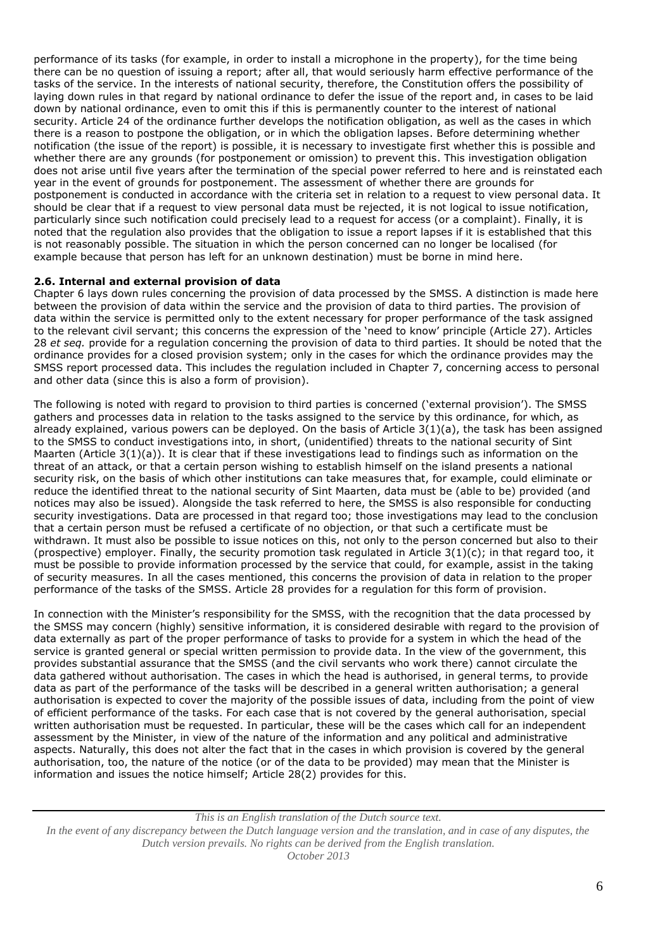performance of its tasks (for example, in order to install a microphone in the property), for the time being there can be no question of issuing a report; after all, that would seriously harm effective performance of the tasks of the service. In the interests of national security, therefore, the Constitution offers the possibility of laying down rules in that regard by national ordinance to defer the issue of the report and, in cases to be laid down by national ordinance, even to omit this if this is permanently counter to the interest of national security. Article 24 of the ordinance further develops the notification obligation, as well as the cases in which there is a reason to postpone the obligation, or in which the obligation lapses. Before determining whether notification (the issue of the report) is possible, it is necessary to investigate first whether this is possible and whether there are any grounds (for postponement or omission) to prevent this. This investigation obligation does not arise until five years after the termination of the special power referred to here and is reinstated each year in the event of grounds for postponement. The assessment of whether there are grounds for postponement is conducted in accordance with the criteria set in relation to a request to view personal data. It should be clear that if a request to view personal data must be rejected, it is not logical to issue notification, particularly since such notification could precisely lead to a request for access (or a complaint). Finally, it is noted that the regulation also provides that the obligation to issue a report lapses if it is established that this is not reasonably possible. The situation in which the person concerned can no longer be localised (for example because that person has left for an unknown destination) must be borne in mind here.

# **2.6. Internal and external provision of data**

Chapter 6 lays down rules concerning the provision of data processed by the SMSS. A distinction is made here between the provision of data within the service and the provision of data to third parties. The provision of data within the service is permitted only to the extent necessary for proper performance of the task assigned to the relevant civil servant; this concerns the expression of the 'need to know' principle (Article 27). Articles 28 *et seq.* provide for a regulation concerning the provision of data to third parties. It should be noted that the ordinance provides for a closed provision system; only in the cases for which the ordinance provides may the SMSS report processed data. This includes the regulation included in Chapter 7, concerning access to personal and other data (since this is also a form of provision).

The following is noted with regard to provision to third parties is concerned ('external provision'). The SMSS gathers and processes data in relation to the tasks assigned to the service by this ordinance, for which, as already explained, various powers can be deployed. On the basis of Article 3(1)(a), the task has been assigned to the SMSS to conduct investigations into, in short, (unidentified) threats to the national security of Sint Maarten (Article 3(1)(a)). It is clear that if these investigations lead to findings such as information on the threat of an attack, or that a certain person wishing to establish himself on the island presents a national security risk, on the basis of which other institutions can take measures that, for example, could eliminate or reduce the identified threat to the national security of Sint Maarten, data must be (able to be) provided (and notices may also be issued). Alongside the task referred to here, the SMSS is also responsible for conducting security investigations. Data are processed in that regard too; those investigations may lead to the conclusion that a certain person must be refused a certificate of no objection, or that such a certificate must be withdrawn. It must also be possible to issue notices on this, not only to the person concerned but also to their (prospective) employer. Finally, the security promotion task regulated in Article 3(1)(c); in that regard too, it must be possible to provide information processed by the service that could, for example, assist in the taking of security measures. In all the cases mentioned, this concerns the provision of data in relation to the proper performance of the tasks of the SMSS. Article 28 provides for a regulation for this form of provision.

In connection with the Minister's responsibility for the SMSS, with the recognition that the data processed by the SMSS may concern (highly) sensitive information, it is considered desirable with regard to the provision of data externally as part of the proper performance of tasks to provide for a system in which the head of the service is granted general or special written permission to provide data. In the view of the government, this provides substantial assurance that the SMSS (and the civil servants who work there) cannot circulate the data gathered without authorisation. The cases in which the head is authorised, in general terms, to provide data as part of the performance of the tasks will be described in a general written authorisation; a general authorisation is expected to cover the majority of the possible issues of data, including from the point of view of efficient performance of the tasks. For each case that is not covered by the general authorisation, special written authorisation must be requested. In particular, these will be the cases which call for an independent assessment by the Minister, in view of the nature of the information and any political and administrative aspects. Naturally, this does not alter the fact that in the cases in which provision is covered by the general authorisation, too, the nature of the notice (or of the data to be provided) may mean that the Minister is information and issues the notice himself; Article 28(2) provides for this.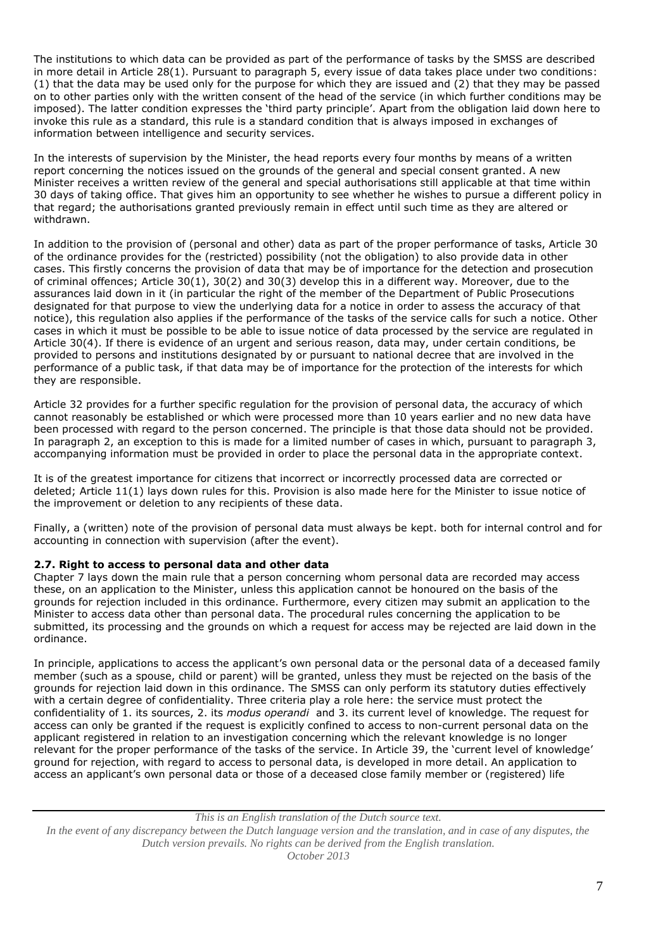The institutions to which data can be provided as part of the performance of tasks by the SMSS are described in more detail in Article 28(1). Pursuant to paragraph 5, every issue of data takes place under two conditions: (1) that the data may be used only for the purpose for which they are issued and (2) that they may be passed on to other parties only with the written consent of the head of the service (in which further conditions may be imposed). The latter condition expresses the 'third party principle'. Apart from the obligation laid down here to invoke this rule as a standard, this rule is a standard condition that is always imposed in exchanges of information between intelligence and security services.

In the interests of supervision by the Minister, the head reports every four months by means of a written report concerning the notices issued on the grounds of the general and special consent granted. A new Minister receives a written review of the general and special authorisations still applicable at that time within 30 days of taking office. That gives him an opportunity to see whether he wishes to pursue a different policy in that regard; the authorisations granted previously remain in effect until such time as they are altered or withdrawn.

In addition to the provision of (personal and other) data as part of the proper performance of tasks, Article 30 of the ordinance provides for the (restricted) possibility (not the obligation) to also provide data in other cases. This firstly concerns the provision of data that may be of importance for the detection and prosecution of criminal offences; Article 30(1), 30(2) and 30(3) develop this in a different way. Moreover, due to the assurances laid down in it (in particular the right of the member of the Department of Public Prosecutions designated for that purpose to view the underlying data for a notice in order to assess the accuracy of that notice), this regulation also applies if the performance of the tasks of the service calls for such a notice. Other cases in which it must be possible to be able to issue notice of data processed by the service are regulated in Article 30(4). If there is evidence of an urgent and serious reason, data may, under certain conditions, be provided to persons and institutions designated by or pursuant to national decree that are involved in the performance of a public task, if that data may be of importance for the protection of the interests for which they are responsible.

Article 32 provides for a further specific regulation for the provision of personal data, the accuracy of which cannot reasonably be established or which were processed more than 10 years earlier and no new data have been processed with regard to the person concerned. The principle is that those data should not be provided. In paragraph 2, an exception to this is made for a limited number of cases in which, pursuant to paragraph 3, accompanying information must be provided in order to place the personal data in the appropriate context.

It is of the greatest importance for citizens that incorrect or incorrectly processed data are corrected or deleted; Article 11(1) lays down rules for this. Provision is also made here for the Minister to issue notice of the improvement or deletion to any recipients of these data.

Finally, a (written) note of the provision of personal data must always be kept. both for internal control and for accounting in connection with supervision (after the event).

# **2.7. Right to access to personal data and other data**

Chapter 7 lays down the main rule that a person concerning whom personal data are recorded may access these, on an application to the Minister, unless this application cannot be honoured on the basis of the grounds for rejection included in this ordinance. Furthermore, every citizen may submit an application to the Minister to access data other than personal data. The procedural rules concerning the application to be submitted, its processing and the grounds on which a request for access may be rejected are laid down in the ordinance.

In principle, applications to access the applicant's own personal data or the personal data of a deceased family member (such as a spouse, child or parent) will be granted, unless they must be rejected on the basis of the grounds for rejection laid down in this ordinance. The SMSS can only perform its statutory duties effectively with a certain degree of confidentiality. Three criteria play a role here: the service must protect the confidentiality of 1. its sources, 2. its *modus operandi* and 3. its current level of knowledge. The request for access can only be granted if the request is explicitly confined to access to non-current personal data on the applicant registered in relation to an investigation concerning which the relevant knowledge is no longer relevant for the proper performance of the tasks of the service. In Article 39, the 'current level of knowledge' ground for rejection, with regard to access to personal data, is developed in more detail. An application to access an applicant's own personal data or those of a deceased close family member or (registered) life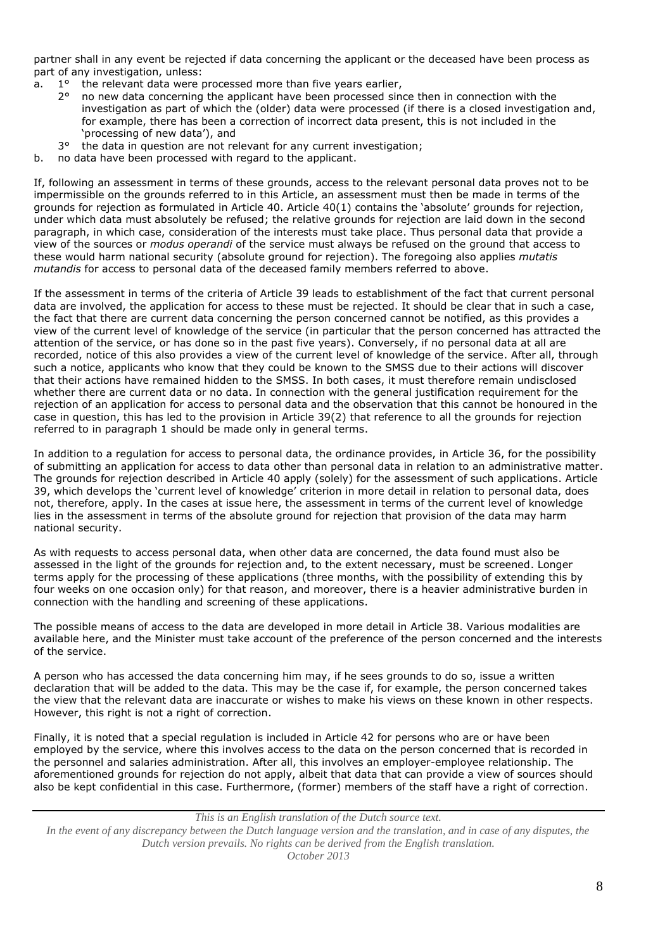partner shall in any event be rejected if data concerning the applicant or the deceased have been process as part of any investigation, unless:

- a.  $1^\circ$  the relevant data were processed more than five years earlier,<br> $2^\circ$  no new data concerning the applicant have been processed sing
	- 2° no new data concerning the applicant have been processed since then in connection with the investigation as part of which the (older) data were processed (if there is a closed investigation and, for example, there has been a correction of incorrect data present, this is not included in the 'processing of new data'), and
	- 3° the data in question are not relevant for any current investigation;
- b. no data have been processed with regard to the applicant.

If, following an assessment in terms of these grounds, access to the relevant personal data proves not to be impermissible on the grounds referred to in this Article, an assessment must then be made in terms of the grounds for rejection as formulated in Article 40. Article 40(1) contains the 'absolute' grounds for rejection, under which data must absolutely be refused; the relative grounds for rejection are laid down in the second paragraph, in which case, consideration of the interests must take place. Thus personal data that provide a view of the sources or *modus operandi* of the service must always be refused on the ground that access to these would harm national security (absolute ground for rejection). The foregoing also applies *mutatis mutandis* for access to personal data of the deceased family members referred to above.

If the assessment in terms of the criteria of Article 39 leads to establishment of the fact that current personal data are involved, the application for access to these must be rejected. It should be clear that in such a case, the fact that there are current data concerning the person concerned cannot be notified, as this provides a view of the current level of knowledge of the service (in particular that the person concerned has attracted the attention of the service, or has done so in the past five years). Conversely, if no personal data at all are recorded, notice of this also provides a view of the current level of knowledge of the service. After all, through such a notice, applicants who know that they could be known to the SMSS due to their actions will discover that their actions have remained hidden to the SMSS. In both cases, it must therefore remain undisclosed whether there are current data or no data. In connection with the general justification requirement for the rejection of an application for access to personal data and the observation that this cannot be honoured in the case in question, this has led to the provision in Article 39(2) that reference to all the grounds for rejection referred to in paragraph 1 should be made only in general terms.

In addition to a regulation for access to personal data, the ordinance provides, in Article 36, for the possibility of submitting an application for access to data other than personal data in relation to an administrative matter. The grounds for rejection described in Article 40 apply (solely) for the assessment of such applications. Article 39, which develops the 'current level of knowledge' criterion in more detail in relation to personal data, does not, therefore, apply. In the cases at issue here, the assessment in terms of the current level of knowledge lies in the assessment in terms of the absolute ground for rejection that provision of the data may harm national security.

As with requests to access personal data, when other data are concerned, the data found must also be assessed in the light of the grounds for rejection and, to the extent necessary, must be screened. Longer terms apply for the processing of these applications (three months, with the possibility of extending this by four weeks on one occasion only) for that reason, and moreover, there is a heavier administrative burden in connection with the handling and screening of these applications.

The possible means of access to the data are developed in more detail in Article 38. Various modalities are available here, and the Minister must take account of the preference of the person concerned and the interests of the service.

A person who has accessed the data concerning him may, if he sees grounds to do so, issue a written declaration that will be added to the data. This may be the case if, for example, the person concerned takes the view that the relevant data are inaccurate or wishes to make his views on these known in other respects. However, this right is not a right of correction.

Finally, it is noted that a special regulation is included in Article 42 for persons who are or have been employed by the service, where this involves access to the data on the person concerned that is recorded in the personnel and salaries administration. After all, this involves an employer-employee relationship. The aforementioned grounds for rejection do not apply, albeit that data that can provide a view of sources should also be kept confidential in this case. Furthermore, (former) members of the staff have a right of correction.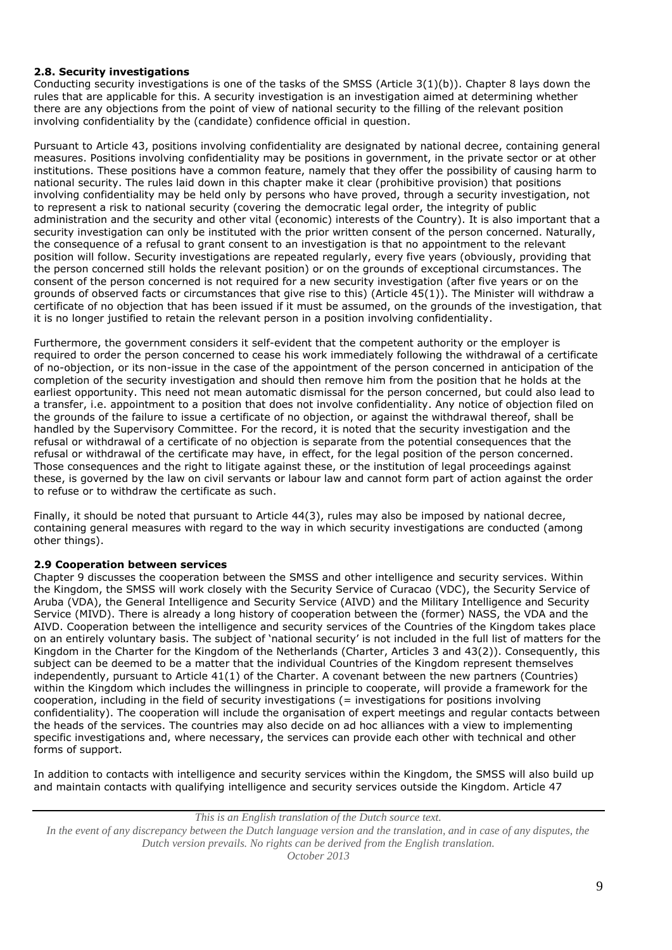# **2.8. Security investigations**

Conducting security investigations is one of the tasks of the SMSS (Article 3(1)(b)). Chapter 8 lays down the rules that are applicable for this. A security investigation is an investigation aimed at determining whether there are any objections from the point of view of national security to the filling of the relevant position involving confidentiality by the (candidate) confidence official in question.

Pursuant to Article 43, positions involving confidentiality are designated by national decree, containing general measures. Positions involving confidentiality may be positions in government, in the private sector or at other institutions. These positions have a common feature, namely that they offer the possibility of causing harm to national security. The rules laid down in this chapter make it clear (prohibitive provision) that positions involving confidentiality may be held only by persons who have proved, through a security investigation, not to represent a risk to national security (covering the democratic legal order, the integrity of public administration and the security and other vital (economic) interests of the Country). It is also important that a security investigation can only be instituted with the prior written consent of the person concerned. Naturally, the consequence of a refusal to grant consent to an investigation is that no appointment to the relevant position will follow. Security investigations are repeated regularly, every five years (obviously, providing that the person concerned still holds the relevant position) or on the grounds of exceptional circumstances. The consent of the person concerned is not required for a new security investigation (after five years or on the grounds of observed facts or circumstances that give rise to this) (Article 45(1)). The Minister will withdraw a certificate of no objection that has been issued if it must be assumed, on the grounds of the investigation, that it is no longer justified to retain the relevant person in a position involving confidentiality.

Furthermore, the government considers it self-evident that the competent authority or the employer is required to order the person concerned to cease his work immediately following the withdrawal of a certificate of no-objection, or its non-issue in the case of the appointment of the person concerned in anticipation of the completion of the security investigation and should then remove him from the position that he holds at the earliest opportunity. This need not mean automatic dismissal for the person concerned, but could also lead to a transfer, i.e. appointment to a position that does not involve confidentiality. Any notice of objection filed on the grounds of the failure to issue a certificate of no objection, or against the withdrawal thereof, shall be handled by the Supervisory Committee. For the record, it is noted that the security investigation and the refusal or withdrawal of a certificate of no objection is separate from the potential consequences that the refusal or withdrawal of the certificate may have, in effect, for the legal position of the person concerned. Those consequences and the right to litigate against these, or the institution of legal proceedings against these, is governed by the law on civil servants or labour law and cannot form part of action against the order to refuse or to withdraw the certificate as such.

Finally, it should be noted that pursuant to Article 44(3), rules may also be imposed by national decree, containing general measures with regard to the way in which security investigations are conducted (among other things).

# **2.9 Cooperation between services**

Chapter 9 discusses the cooperation between the SMSS and other intelligence and security services. Within the Kingdom, the SMSS will work closely with the Security Service of Curacao (VDC), the Security Service of Aruba (VDA), the General Intelligence and Security Service (AIVD) and the Military Intelligence and Security Service (MIVD). There is already a long history of cooperation between the (former) NASS, the VDA and the AIVD. Cooperation between the intelligence and security services of the Countries of the Kingdom takes place on an entirely voluntary basis. The subject of 'national security' is not included in the full list of matters for the Kingdom in the Charter for the Kingdom of the Netherlands (Charter, Articles 3 and 43(2)). Consequently, this subject can be deemed to be a matter that the individual Countries of the Kingdom represent themselves independently, pursuant to Article 41(1) of the Charter. A covenant between the new partners (Countries) within the Kingdom which includes the willingness in principle to cooperate, will provide a framework for the cooperation, including in the field of security investigations (= investigations for positions involving confidentiality). The cooperation will include the organisation of expert meetings and regular contacts between the heads of the services. The countries may also decide on ad hoc alliances with a view to implementing specific investigations and, where necessary, the services can provide each other with technical and other forms of support.

In addition to contacts with intelligence and security services within the Kingdom, the SMSS will also build up and maintain contacts with qualifying intelligence and security services outside the Kingdom. Article 47

*This is an English translation of the Dutch source text. In the event of any discrepancy between the Dutch language version and the translation, and in case of any disputes, the Dutch version prevails. No rights can be derived from the English translation.*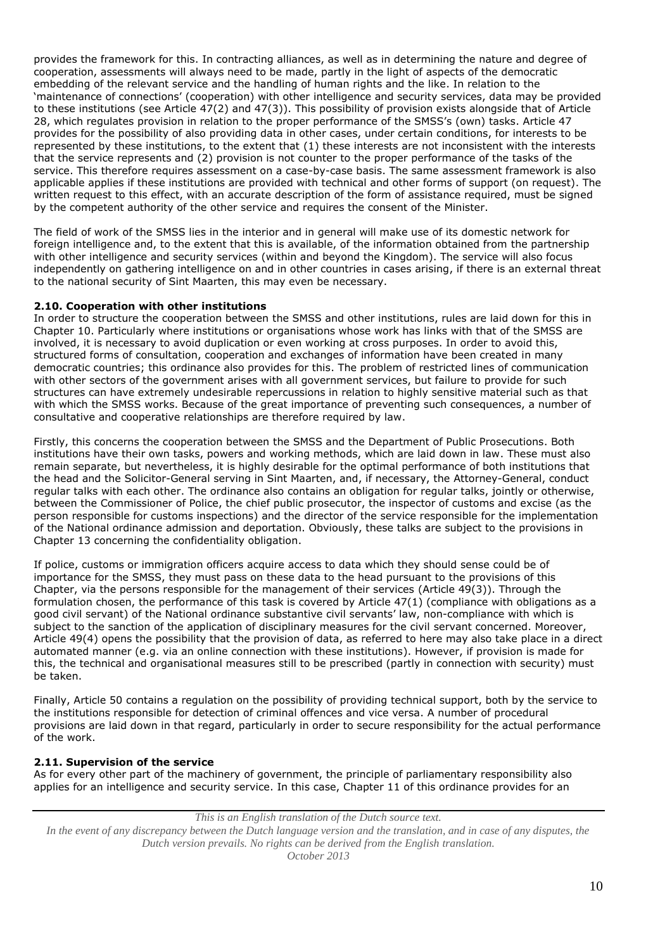provides the framework for this. In contracting alliances, as well as in determining the nature and degree of cooperation, assessments will always need to be made, partly in the light of aspects of the democratic embedding of the relevant service and the handling of human rights and the like. In relation to the 'maintenance of connections' (cooperation) with other intelligence and security services, data may be provided to these institutions (see Article 47(2) and 47(3)). This possibility of provision exists alongside that of Article 28, which regulates provision in relation to the proper performance of the SMSS's (own) tasks. Article 47 provides for the possibility of also providing data in other cases, under certain conditions, for interests to be represented by these institutions, to the extent that (1) these interests are not inconsistent with the interests that the service represents and (2) provision is not counter to the proper performance of the tasks of the service. This therefore requires assessment on a case-by-case basis. The same assessment framework is also applicable applies if these institutions are provided with technical and other forms of support (on request). The written request to this effect, with an accurate description of the form of assistance required, must be signed by the competent authority of the other service and requires the consent of the Minister.

The field of work of the SMSS lies in the interior and in general will make use of its domestic network for foreign intelligence and, to the extent that this is available, of the information obtained from the partnership with other intelligence and security services (within and beyond the Kingdom). The service will also focus independently on gathering intelligence on and in other countries in cases arising, if there is an external threat to the national security of Sint Maarten, this may even be necessary.

# **2.10. Cooperation with other institutions**

In order to structure the cooperation between the SMSS and other institutions, rules are laid down for this in Chapter 10. Particularly where institutions or organisations whose work has links with that of the SMSS are involved, it is necessary to avoid duplication or even working at cross purposes. In order to avoid this, structured forms of consultation, cooperation and exchanges of information have been created in many democratic countries; this ordinance also provides for this. The problem of restricted lines of communication with other sectors of the government arises with all government services, but failure to provide for such structures can have extremely undesirable repercussions in relation to highly sensitive material such as that with which the SMSS works. Because of the great importance of preventing such consequences, a number of consultative and cooperative relationships are therefore required by law.

Firstly, this concerns the cooperation between the SMSS and the Department of Public Prosecutions. Both institutions have their own tasks, powers and working methods, which are laid down in law. These must also remain separate, but nevertheless, it is highly desirable for the optimal performance of both institutions that the head and the Solicitor-General serving in Sint Maarten, and, if necessary, the Attorney-General, conduct regular talks with each other. The ordinance also contains an obligation for regular talks, jointly or otherwise, between the Commissioner of Police, the chief public prosecutor, the inspector of customs and excise (as the person responsible for customs inspections) and the director of the service responsible for the implementation of the National ordinance admission and deportation. Obviously, these talks are subject to the provisions in Chapter 13 concerning the confidentiality obligation.

If police, customs or immigration officers acquire access to data which they should sense could be of importance for the SMSS, they must pass on these data to the head pursuant to the provisions of this Chapter, via the persons responsible for the management of their services (Article 49(3)). Through the formulation chosen, the performance of this task is covered by Article 47(1) (compliance with obligations as a good civil servant) of the National ordinance substantive civil servants' law, non-compliance with which is subject to the sanction of the application of disciplinary measures for the civil servant concerned. Moreover, Article 49(4) opens the possibility that the provision of data, as referred to here may also take place in a direct automated manner (e.g. via an online connection with these institutions). However, if provision is made for this, the technical and organisational measures still to be prescribed (partly in connection with security) must be taken.

Finally, Article 50 contains a regulation on the possibility of providing technical support, both by the service to the institutions responsible for detection of criminal offences and vice versa. A number of procedural provisions are laid down in that regard, particularly in order to secure responsibility for the actual performance of the work.

#### **2.11. Supervision of the service**

As for every other part of the machinery of government, the principle of parliamentary responsibility also applies for an intelligence and security service. In this case, Chapter 11 of this ordinance provides for an

*This is an English translation of the Dutch source text. In the event of any discrepancy between the Dutch language version and the translation, and in case of any disputes, the Dutch version prevails. No rights can be derived from the English translation.*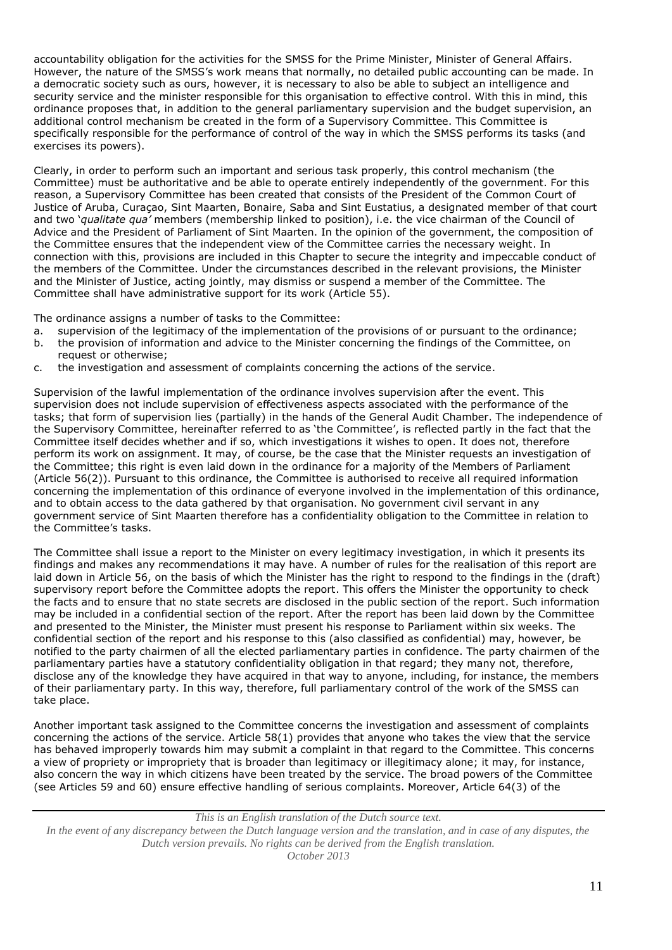accountability obligation for the activities for the SMSS for the Prime Minister, Minister of General Affairs. However, the nature of the SMSS's work means that normally, no detailed public accounting can be made. In a democratic society such as ours, however, it is necessary to also be able to subject an intelligence and security service and the minister responsible for this organisation to effective control. With this in mind, this ordinance proposes that, in addition to the general parliamentary supervision and the budget supervision, an additional control mechanism be created in the form of a Supervisory Committee. This Committee is specifically responsible for the performance of control of the way in which the SMSS performs its tasks (and exercises its powers).

Clearly, in order to perform such an important and serious task properly, this control mechanism (the Committee) must be authoritative and be able to operate entirely independently of the government. For this reason, a Supervisory Committee has been created that consists of the President of the Common Court of Justice of Aruba, Curaçao, Sint Maarten, Bonaire, Saba and Sint Eustatius, a designated member of that court and two '*qualitate qua'* members (membership linked to position), i.e. the vice chairman of the Council of Advice and the President of Parliament of Sint Maarten. In the opinion of the government, the composition of the Committee ensures that the independent view of the Committee carries the necessary weight. In connection with this, provisions are included in this Chapter to secure the integrity and impeccable conduct of the members of the Committee. Under the circumstances described in the relevant provisions, the Minister and the Minister of Justice, acting jointly, may dismiss or suspend a member of the Committee. The Committee shall have administrative support for its work (Article 55).

The ordinance assigns a number of tasks to the Committee:

- a. supervision of the legitimacy of the implementation of the provisions of or pursuant to the ordinance;
- b. the provision of information and advice to the Minister concerning the findings of the Committee, on request or otherwise;
- c. the investigation and assessment of complaints concerning the actions of the service.

Supervision of the lawful implementation of the ordinance involves supervision after the event. This supervision does not include supervision of effectiveness aspects associated with the performance of the tasks; that form of supervision lies (partially) in the hands of the General Audit Chamber. The independence of the Supervisory Committee, hereinafter referred to as 'the Committee', is reflected partly in the fact that the Committee itself decides whether and if so, which investigations it wishes to open. It does not, therefore perform its work on assignment. It may, of course, be the case that the Minister requests an investigation of the Committee; this right is even laid down in the ordinance for a majority of the Members of Parliament (Article 56(2)). Pursuant to this ordinance, the Committee is authorised to receive all required information concerning the implementation of this ordinance of everyone involved in the implementation of this ordinance, and to obtain access to the data gathered by that organisation. No government civil servant in any government service of Sint Maarten therefore has a confidentiality obligation to the Committee in relation to the Committee's tasks.

The Committee shall issue a report to the Minister on every legitimacy investigation, in which it presents its findings and makes any recommendations it may have. A number of rules for the realisation of this report are laid down in Article 56, on the basis of which the Minister has the right to respond to the findings in the (draft) supervisory report before the Committee adopts the report. This offers the Minister the opportunity to check the facts and to ensure that no state secrets are disclosed in the public section of the report. Such information may be included in a confidential section of the report. After the report has been laid down by the Committee and presented to the Minister, the Minister must present his response to Parliament within six weeks. The confidential section of the report and his response to this (also classified as confidential) may, however, be notified to the party chairmen of all the elected parliamentary parties in confidence. The party chairmen of the parliamentary parties have a statutory confidentiality obligation in that regard; they many not, therefore, disclose any of the knowledge they have acquired in that way to anyone, including, for instance, the members of their parliamentary party. In this way, therefore, full parliamentary control of the work of the SMSS can take place.

Another important task assigned to the Committee concerns the investigation and assessment of complaints concerning the actions of the service. Article 58(1) provides that anyone who takes the view that the service has behaved improperly towards him may submit a complaint in that regard to the Committee. This concerns a view of propriety or impropriety that is broader than legitimacy or illegitimacy alone; it may, for instance, also concern the way in which citizens have been treated by the service. The broad powers of the Committee (see Articles 59 and 60) ensure effective handling of serious complaints. Moreover, Article 64(3) of the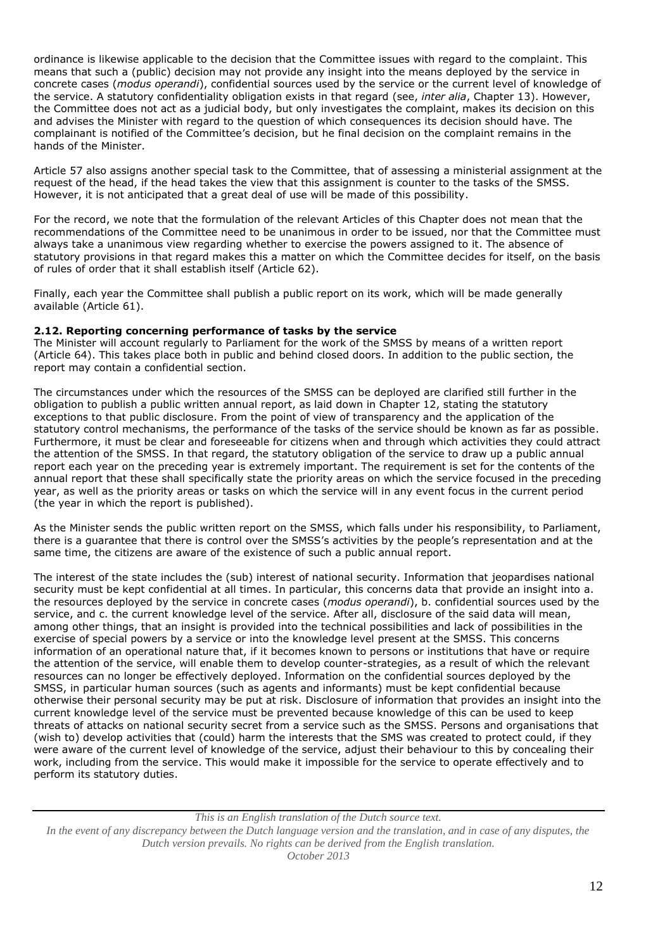ordinance is likewise applicable to the decision that the Committee issues with regard to the complaint. This means that such a (public) decision may not provide any insight into the means deployed by the service in concrete cases (*modus operandi*), confidential sources used by the service or the current level of knowledge of the service. A statutory confidentiality obligation exists in that regard (see, *inter alia*, Chapter 13). However, the Committee does not act as a judicial body, but only investigates the complaint, makes its decision on this and advises the Minister with regard to the question of which consequences its decision should have. The complainant is notified of the Committee's decision, but he final decision on the complaint remains in the hands of the Minister.

Article 57 also assigns another special task to the Committee, that of assessing a ministerial assignment at the request of the head, if the head takes the view that this assignment is counter to the tasks of the SMSS. However, it is not anticipated that a great deal of use will be made of this possibility.

For the record, we note that the formulation of the relevant Articles of this Chapter does not mean that the recommendations of the Committee need to be unanimous in order to be issued, nor that the Committee must always take a unanimous view regarding whether to exercise the powers assigned to it. The absence of statutory provisions in that regard makes this a matter on which the Committee decides for itself, on the basis of rules of order that it shall establish itself (Article 62).

Finally, each year the Committee shall publish a public report on its work, which will be made generally available (Article 61).

# **2.12. Reporting concerning performance of tasks by the service**

The Minister will account regularly to Parliament for the work of the SMSS by means of a written report (Article 64). This takes place both in public and behind closed doors. In addition to the public section, the report may contain a confidential section.

The circumstances under which the resources of the SMSS can be deployed are clarified still further in the obligation to publish a public written annual report, as laid down in Chapter 12, stating the statutory exceptions to that public disclosure. From the point of view of transparency and the application of the statutory control mechanisms, the performance of the tasks of the service should be known as far as possible. Furthermore, it must be clear and foreseeable for citizens when and through which activities they could attract the attention of the SMSS. In that regard, the statutory obligation of the service to draw up a public annual report each year on the preceding year is extremely important. The requirement is set for the contents of the annual report that these shall specifically state the priority areas on which the service focused in the preceding year, as well as the priority areas or tasks on which the service will in any event focus in the current period (the year in which the report is published).

As the Minister sends the public written report on the SMSS, which falls under his responsibility, to Parliament, there is a guarantee that there is control over the SMSS's activities by the people's representation and at the same time, the citizens are aware of the existence of such a public annual report.

The interest of the state includes the (sub) interest of national security. Information that jeopardises national security must be kept confidential at all times. In particular, this concerns data that provide an insight into a. the resources deployed by the service in concrete cases (*modus operandi*), b. confidential sources used by the service, and c. the current knowledge level of the service. After all, disclosure of the said data will mean, among other things, that an insight is provided into the technical possibilities and lack of possibilities in the exercise of special powers by a service or into the knowledge level present at the SMSS. This concerns information of an operational nature that, if it becomes known to persons or institutions that have or require the attention of the service, will enable them to develop counter-strategies, as a result of which the relevant resources can no longer be effectively deployed. Information on the confidential sources deployed by the SMSS, in particular human sources (such as agents and informants) must be kept confidential because otherwise their personal security may be put at risk. Disclosure of information that provides an insight into the current knowledge level of the service must be prevented because knowledge of this can be used to keep threats of attacks on national security secret from a service such as the SMSS. Persons and organisations that (wish to) develop activities that (could) harm the interests that the SMS was created to protect could, if they were aware of the current level of knowledge of the service, adjust their behaviour to this by concealing their work, including from the service. This would make it impossible for the service to operate effectively and to perform its statutory duties.

*This is an English translation of the Dutch source text. In the event of any discrepancy between the Dutch language version and the translation, and in case of any disputes, the Dutch version prevails. No rights can be derived from the English translation.*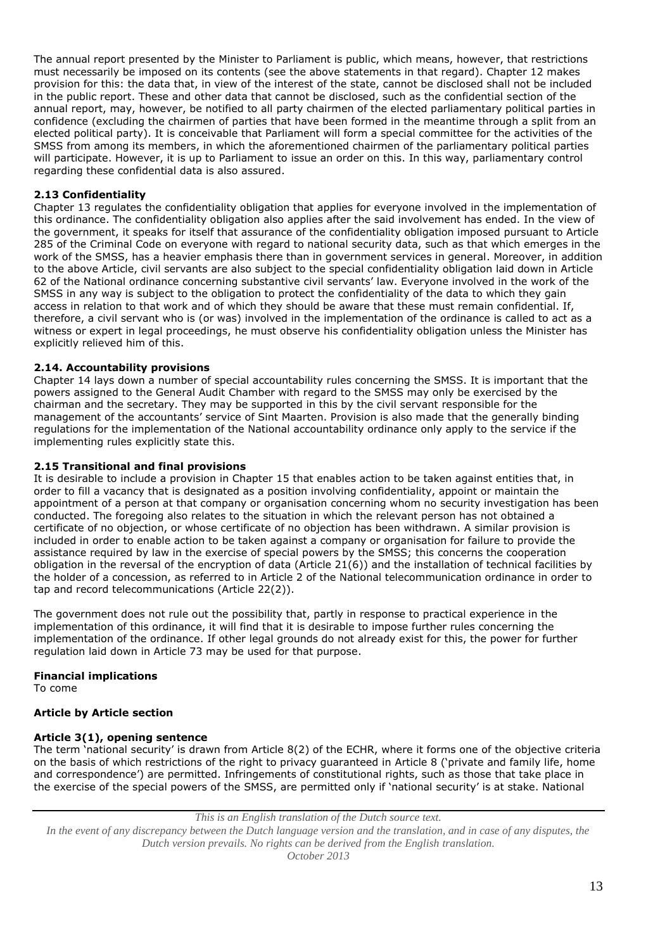The annual report presented by the Minister to Parliament is public, which means, however, that restrictions must necessarily be imposed on its contents (see the above statements in that regard). Chapter 12 makes provision for this: the data that, in view of the interest of the state, cannot be disclosed shall not be included in the public report. These and other data that cannot be disclosed, such as the confidential section of the annual report, may, however, be notified to all party chairmen of the elected parliamentary political parties in confidence (excluding the chairmen of parties that have been formed in the meantime through a split from an elected political party). It is conceivable that Parliament will form a special committee for the activities of the SMSS from among its members, in which the aforementioned chairmen of the parliamentary political parties will participate. However, it is up to Parliament to issue an order on this. In this way, parliamentary control regarding these confidential data is also assured.

# **2.13 Confidentiality**

Chapter 13 regulates the confidentiality obligation that applies for everyone involved in the implementation of this ordinance. The confidentiality obligation also applies after the said involvement has ended. In the view of the government, it speaks for itself that assurance of the confidentiality obligation imposed pursuant to Article 285 of the Criminal Code on everyone with regard to national security data, such as that which emerges in the work of the SMSS, has a heavier emphasis there than in government services in general. Moreover, in addition to the above Article, civil servants are also subject to the special confidentiality obligation laid down in Article 62 of the National ordinance concerning substantive civil servants' law. Everyone involved in the work of the SMSS in any way is subject to the obligation to protect the confidentiality of the data to which they gain access in relation to that work and of which they should be aware that these must remain confidential. If, therefore, a civil servant who is (or was) involved in the implementation of the ordinance is called to act as a witness or expert in legal proceedings, he must observe his confidentiality obligation unless the Minister has explicitly relieved him of this.

#### **2.14. Accountability provisions**

Chapter 14 lays down a number of special accountability rules concerning the SMSS. It is important that the powers assigned to the General Audit Chamber with regard to the SMSS may only be exercised by the chairman and the secretary. They may be supported in this by the civil servant responsible for the management of the accountants' service of Sint Maarten. Provision is also made that the generally binding regulations for the implementation of the National accountability ordinance only apply to the service if the implementing rules explicitly state this.

#### **2.15 Transitional and final provisions**

It is desirable to include a provision in Chapter 15 that enables action to be taken against entities that, in order to fill a vacancy that is designated as a position involving confidentiality, appoint or maintain the appointment of a person at that company or organisation concerning whom no security investigation has been conducted. The foregoing also relates to the situation in which the relevant person has not obtained a certificate of no objection, or whose certificate of no objection has been withdrawn. A similar provision is included in order to enable action to be taken against a company or organisation for failure to provide the assistance required by law in the exercise of special powers by the SMSS; this concerns the cooperation obligation in the reversal of the encryption of data (Article 21(6)) and the installation of technical facilities by the holder of a concession, as referred to in Article 2 of the National telecommunication ordinance in order to tap and record telecommunications (Article 22(2)).

The government does not rule out the possibility that, partly in response to practical experience in the implementation of this ordinance, it will find that it is desirable to impose further rules concerning the implementation of the ordinance. If other legal grounds do not already exist for this, the power for further regulation laid down in Article 73 may be used for that purpose.

#### **Financial implications**

To come

# **Article by Article section**

# **Article 3(1), opening sentence**

The term 'national security' is drawn from Article 8(2) of the ECHR, where it forms one of the objective criteria on the basis of which restrictions of the right to privacy guaranteed in Article 8 ('private and family life, home and correspondence') are permitted. Infringements of constitutional rights, such as those that take place in the exercise of the special powers of the SMSS, are permitted only if 'national security' is at stake. National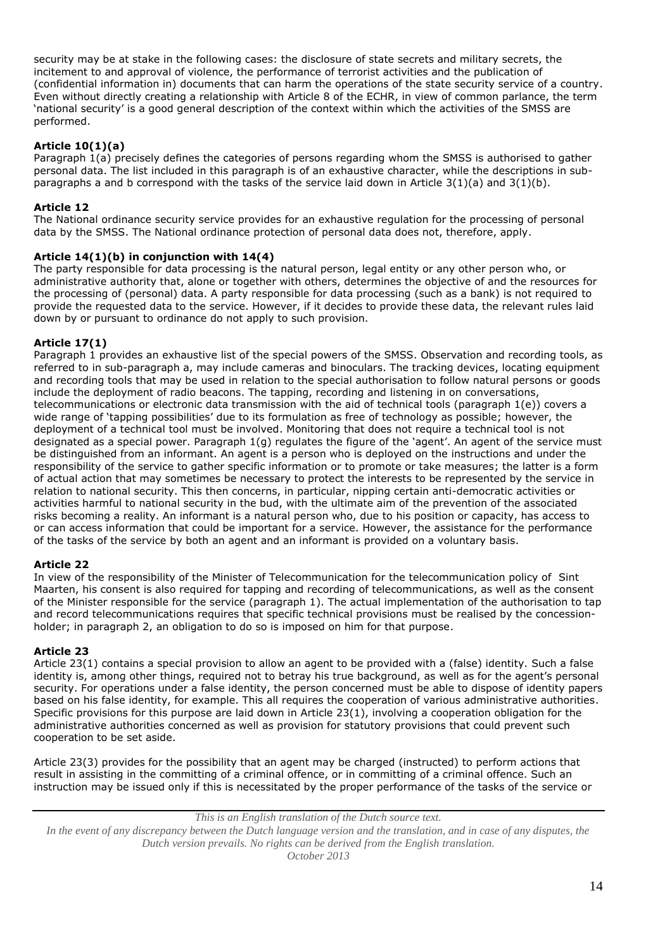security may be at stake in the following cases: the disclosure of state secrets and military secrets, the incitement to and approval of violence, the performance of terrorist activities and the publication of (confidential information in) documents that can harm the operations of the state security service of a country. Even without directly creating a relationship with Article 8 of the ECHR, in view of common parlance, the term 'national security' is a good general description of the context within which the activities of the SMSS are performed.

# **Article 10(1)(a)**

Paragraph 1(a) precisely defines the categories of persons regarding whom the SMSS is authorised to gather personal data. The list included in this paragraph is of an exhaustive character, while the descriptions in subparagraphs a and b correspond with the tasks of the service laid down in Article  $3(1)(a)$  and  $3(1)(b)$ .

# **Article 12**

The National ordinance security service provides for an exhaustive regulation for the processing of personal data by the SMSS. The National ordinance protection of personal data does not, therefore, apply.

# **Article 14(1)(b) in conjunction with 14(4)**

The party responsible for data processing is the natural person, legal entity or any other person who, or administrative authority that, alone or together with others, determines the objective of and the resources for the processing of (personal) data. A party responsible for data processing (such as a bank) is not required to provide the requested data to the service. However, if it decides to provide these data, the relevant rules laid down by or pursuant to ordinance do not apply to such provision.

# **Article 17(1)**

Paragraph 1 provides an exhaustive list of the special powers of the SMSS. Observation and recording tools, as referred to in sub-paragraph a, may include cameras and binoculars. The tracking devices, locating equipment and recording tools that may be used in relation to the special authorisation to follow natural persons or goods include the deployment of radio beacons. The tapping, recording and listening in on conversations, telecommunications or electronic data transmission with the aid of technical tools (paragraph 1(e)) covers a wide range of 'tapping possibilities' due to its formulation as free of technology as possible; however, the deployment of a technical tool must be involved. Monitoring that does not require a technical tool is not designated as a special power. Paragraph 1(g) regulates the figure of the 'agent'. An agent of the service must be distinguished from an informant. An agent is a person who is deployed on the instructions and under the responsibility of the service to gather specific information or to promote or take measures; the latter is a form of actual action that may sometimes be necessary to protect the interests to be represented by the service in relation to national security. This then concerns, in particular, nipping certain anti-democratic activities or activities harmful to national security in the bud, with the ultimate aim of the prevention of the associated risks becoming a reality. An informant is a natural person who, due to his position or capacity, has access to or can access information that could be important for a service. However, the assistance for the performance of the tasks of the service by both an agent and an informant is provided on a voluntary basis.

# **Article 22**

In view of the responsibility of the Minister of Telecommunication for the telecommunication policy of Sint Maarten, his consent is also required for tapping and recording of telecommunications, as well as the consent of the Minister responsible for the service (paragraph 1). The actual implementation of the authorisation to tap and record telecommunications requires that specific technical provisions must be realised by the concessionholder; in paragraph 2, an obligation to do so is imposed on him for that purpose.

# **Article 23**

Article 23(1) contains a special provision to allow an agent to be provided with a (false) identity. Such a false identity is, among other things, required not to betray his true background, as well as for the agent's personal security. For operations under a false identity, the person concerned must be able to dispose of identity papers based on his false identity, for example. This all requires the cooperation of various administrative authorities. Specific provisions for this purpose are laid down in Article 23(1), involving a cooperation obligation for the administrative authorities concerned as well as provision for statutory provisions that could prevent such cooperation to be set aside.

Article 23(3) provides for the possibility that an agent may be charged (instructed) to perform actions that result in assisting in the committing of a criminal offence, or in committing of a criminal offence. Such an instruction may be issued only if this is necessitated by the proper performance of the tasks of the service or

*This is an English translation of the Dutch source text. In the event of any discrepancy between the Dutch language version and the translation, and in case of any disputes, the Dutch version prevails. No rights can be derived from the English translation.*